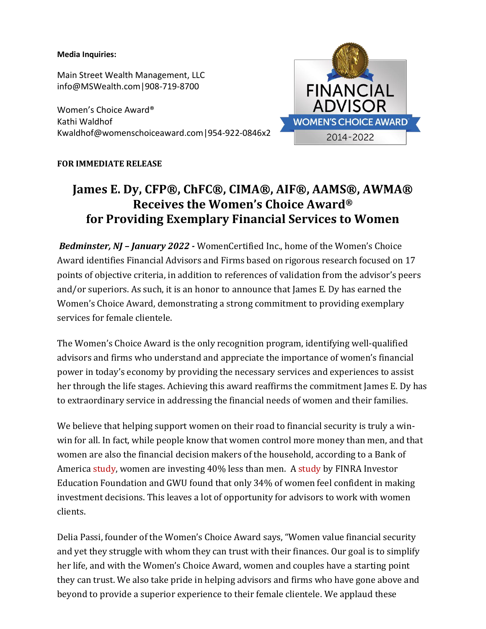### **Media Inquiries:**

Main Street Wealth Management, LLC info@MSWealth.com|908-719-8700

Women's Choice Award® Kathi Waldhof Kwaldhof@womenschoiceaward.com|954-922-0846x2

## **FOR IMMEDIATE RELEASE**

# **James E. Dy, CFP®, ChFC®, CIMA®, AIF®, AAMS®, AWMA® Receives the Women's Choice Award® for Providing Exemplary Financial Services to Women**

*Bedminster, NJ – January 2022 -* WomenCertified Inc., home of the Women's Choice Award identifies Financial Advisors and Firms based on rigorous research focused on 17 points of objective criteria, in addition to references of validation from the advisor's peers and/or superiors. As such, it is an honor to announce that James E. Dy has earned the Women's Choice Award, demonstrating a strong commitment to providing exemplary services for female clientele.

The Women's Choice Award is the only recognition program, identifying well-qualified advisors and firms who understand and appreciate the importance of women's financial power in today's economy by providing the necessary services and experiences to assist her through the life stages. Achieving this award reaffirms the commitment James E. Dy has to extraordinary service in addressing the financial needs of women and their families.

We believe that helping support women on their road to financial security is truly a winwin for all. In fact, while people know that women control more money than men, and that women are also the financial decision makers of the household, according to a [Bank](https://www.cnbctv18.com/personal-finance/festive-bonanza-hdfc-bank-csc-to-provide-over-10000-offers-for-rural-india-11043942.htm) of America [study,](https://www.fa-mag.com/news/women-have-40--less-in-retirement-savings-than-men--boa-finds-62169.html) women are investing 40% less than men. A [study](https://www.cnbctv18.com/personal-finance/festive-bonanza-hdfc-bank-csc-to-provide-over-10000-offers-for-rural-india-11043942.htm) by FINRA Investor Education Foundation and GWU found that only 34% of women feel confident in making investment decisions. This leaves a lot of opportunity for advisors to work with women clients.

Delia Passi, founder of the Women's Choice Award says, "Women value financial security and yet they struggle with whom they can trust with their finances. Our goal is to simplify her life, and with the Women's Choice Award, women and couples have a starting point they can trust. We also take pride in helping advisors and firms who have gone above and beyond to provide a superior experience to their female clientele. We applaud these